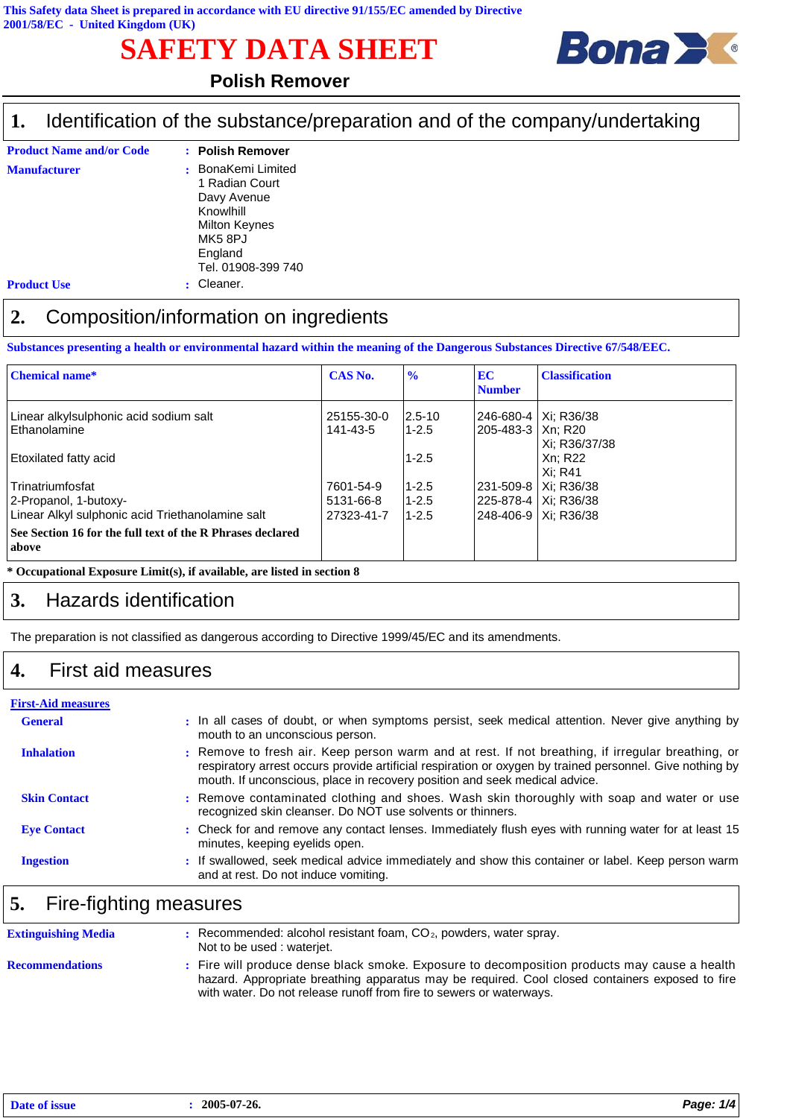# **SAFETY DATA SHEET**



### **Polish Remover**

#### Identification of the substance/preparation and of the company/undertaking **1.**

| <b>Product Name and/or Code</b> | : Polish Remover                                                                                                                       |
|---------------------------------|----------------------------------------------------------------------------------------------------------------------------------------|
| <b>Manufacturer</b>             | BonaKemi Limited<br>÷<br>1 Radian Court<br>Davy Avenue<br>Knowlhill<br><b>Milton Keynes</b><br>MK58PJ<br>England<br>Tel. 01908-399 740 |
| <b>Product Use</b>              | Cleaner.                                                                                                                               |

## **2.** Composition/information on ingredients

**Substances presenting a health or environmental hazard within the meaning of the Dangerous Substances Directive 67/548/EEC.**

| <b>Chemical name*</b>                                               | CAS No.                | $\frac{1}{2}$           | <b>EC</b><br><b>Number</b>                    | <b>Classification</b> |
|---------------------------------------------------------------------|------------------------|-------------------------|-----------------------------------------------|-----------------------|
| Linear alkylsulphonic acid sodium salt<br><b>Ethanolamine</b>       | 25155-30-0<br>141-43-5 | $2.5 - 10$<br>$1 - 2.5$ | 246-680-4   Xi: R36/38<br>205-483-3   Xn: R20 | Xi: R36/37/38         |
| <b>Etoxilated fatty acid</b>                                        |                        | $1 - 2.5$               |                                               | Xn: R22<br>Xi: R41    |
| <b>Trinatriumfosfat</b>                                             | 7601-54-9              | $1 - 2.5$               | 231-509-8   Xi: R36/38                        |                       |
| 2-Propanol, 1-butoxy-                                               | 5131-66-8              | $1 - 2.5$               | 225-878-4   Xi: R36/38                        |                       |
| Linear Alkyl sulphonic acid Triethanolamine salt                    | 27323-41-7             | $1 - 2.5$               | 248-406-9   Xi: R36/38                        |                       |
| See Section 16 for the full text of the R Phrases declared<br>above |                        |                         |                                               |                       |

**\* Occupational Exposure Limit(s), if available, are listed in section 8**

#### **3.** Hazards identification

The preparation is not classified as dangerous according to Directive 1999/45/EC and its amendments.

#### **4.** First aid measures

| <b>First-Aid measures</b> |                                                                                                                                                                                                                                                                                             |
|---------------------------|---------------------------------------------------------------------------------------------------------------------------------------------------------------------------------------------------------------------------------------------------------------------------------------------|
| <b>General</b>            | : In all cases of doubt, or when symptoms persist, seek medical attention. Never give anything by<br>mouth to an unconscious person.                                                                                                                                                        |
| <b>Inhalation</b>         | : Remove to fresh air. Keep person warm and at rest. If not breathing, if irregular breathing, or<br>respiratory arrest occurs provide artificial respiration or oxygen by trained personnel. Give nothing by<br>mouth. If unconscious, place in recovery position and seek medical advice. |
| <b>Skin Contact</b>       | : Remove contaminated clothing and shoes. Wash skin thoroughly with soap and water or use<br>recognized skin cleanser. Do NOT use solvents or thinners.                                                                                                                                     |
| <b>Eye Contact</b>        | : Check for and remove any contact lenses. Immediately flush eyes with running water for at least 15<br>minutes, keeping eyelids open.                                                                                                                                                      |
| <b>Ingestion</b>          | : If swallowed, seek medical advice immediately and show this container or label. Keep person warm<br>and at rest. Do not induce vomiting.                                                                                                                                                  |

#### **5.** Fire-fighting measures

| <b>Extinguishing Media</b> | $\therefore$ Recommended: alcohol resistant foam, $CO2$ , powders, water spray.<br>Not to be used : waterjet.                                                                                                                                                          |
|----------------------------|------------------------------------------------------------------------------------------------------------------------------------------------------------------------------------------------------------------------------------------------------------------------|
| <b>Recommendations</b>     | : Fire will produce dense black smoke. Exposure to decomposition products may cause a health<br>hazard. Appropriate breathing apparatus may be required. Cool closed containers exposed to fire<br>with water. Do not release runoff from fire to sewers or waterways. |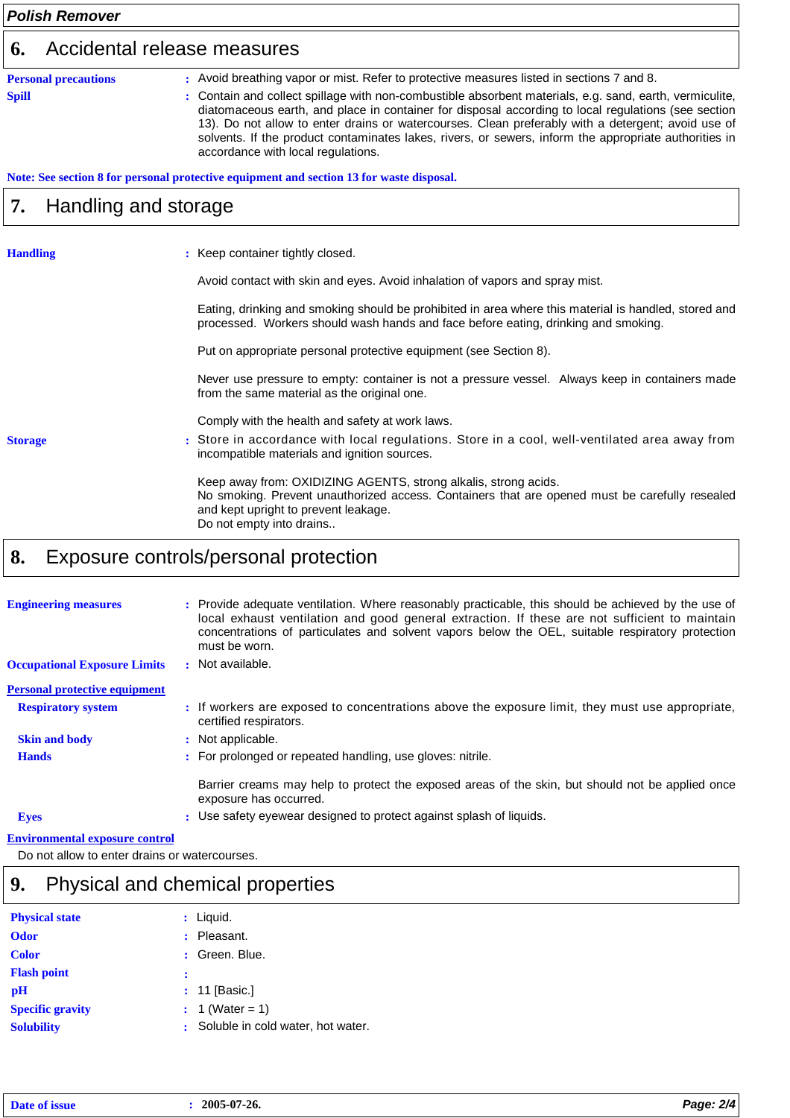#### *Polish Remover* **Personal precautions** : Avoid breathing vapor or mist. Refer to protective measures listed in sections 7 and 8. **6.** Accidental release measures **Spill :** Contain and collect spillage with non-combustible absorbent materials, e.g. sand, earth, vermiculite, diatomaceous earth, and place in container for disposal according to local regulations (see section 13). Do not allow to enter drains or watercourses. Clean preferably with a detergent; avoid use of solvents. If the product contaminates lakes, rivers, or sewers, inform the appropriate authorities in accordance with local regulations. **Note: See section 8 for personal protective equipment and section 13 for waste disposal. Handling** Handling and storage **Storage 7.** : Keep container tightly closed. Avoid contact with skin and eyes. Avoid inhalation of vapors and spray mist. Eating, drinking and smoking should be prohibited in area where this material is handled, stored and processed. Workers should wash hands and face before eating, drinking and smoking. Put on appropriate personal protective equipment (see Section 8). Never use pressure to empty: container is not a pressure vessel. Always keep in containers made from the same material as the original one. Comply with the health and safety at work laws. Store in accordance with local regulations. Store in a cool, well-ventilated area away from incompatible materials and ignition sources. Keep away from: OXIDIZING AGENTS, strong alkalis, strong acids. No smoking. Prevent unauthorized access. Containers that are opened must be carefully resealed and kept upright to prevent leakage. Do not empty into drains.. **:**

#### **8.** Exposure controls/personal protection

| <b>Engineering measures</b>           | : Provide adequate ventilation. Where reasonably practicable, this should be achieved by the use of<br>local exhaust ventilation and good general extraction. If these are not sufficient to maintain<br>concentrations of particulates and solvent vapors below the OEL, suitable respiratory protection<br>must be worn. |
|---------------------------------------|----------------------------------------------------------------------------------------------------------------------------------------------------------------------------------------------------------------------------------------------------------------------------------------------------------------------------|
| <b>Occupational Exposure Limits</b>   | : Not available.                                                                                                                                                                                                                                                                                                           |
| <b>Personal protective equipment</b>  |                                                                                                                                                                                                                                                                                                                            |
| <b>Respiratory system</b>             | : If workers are exposed to concentrations above the exposure limit, they must use appropriate,<br>certified respirators.                                                                                                                                                                                                  |
| <b>Skin and body</b>                  | : Not applicable.                                                                                                                                                                                                                                                                                                          |
| <b>Hands</b>                          | : For prolonged or repeated handling, use gloves: nitrile.                                                                                                                                                                                                                                                                 |
|                                       | Barrier creams may help to protect the exposed areas of the skin, but should not be applied once<br>exposure has occurred.                                                                                                                                                                                                 |
| <b>Eyes</b>                           | : Use safety eyewear designed to protect against splash of liquids.                                                                                                                                                                                                                                                        |
| <b>Environmental exposure control</b> |                                                                                                                                                                                                                                                                                                                            |

Do not allow to enter drains or watercourses.

## **9.** Physical and chemical properties

| <b>Physical state</b>   | $:$ Liquid.                         |
|-------------------------|-------------------------------------|
| <b>Odor</b>             | : Pleasant.                         |
| <b>Color</b>            | : Green. Blue.                      |
| <b>Flash point</b>      |                                     |
| рH                      | $: 11$ [Basic.]                     |
| <b>Specific gravity</b> | : 1 (Water = 1)                     |
| <b>Solubility</b>       | : Soluble in cold water, hot water. |
|                         |                                     |

| <b>Date</b><br>- or<br>- ISSUt | 2005-07-26. | 2/4 |
|--------------------------------|-------------|-----|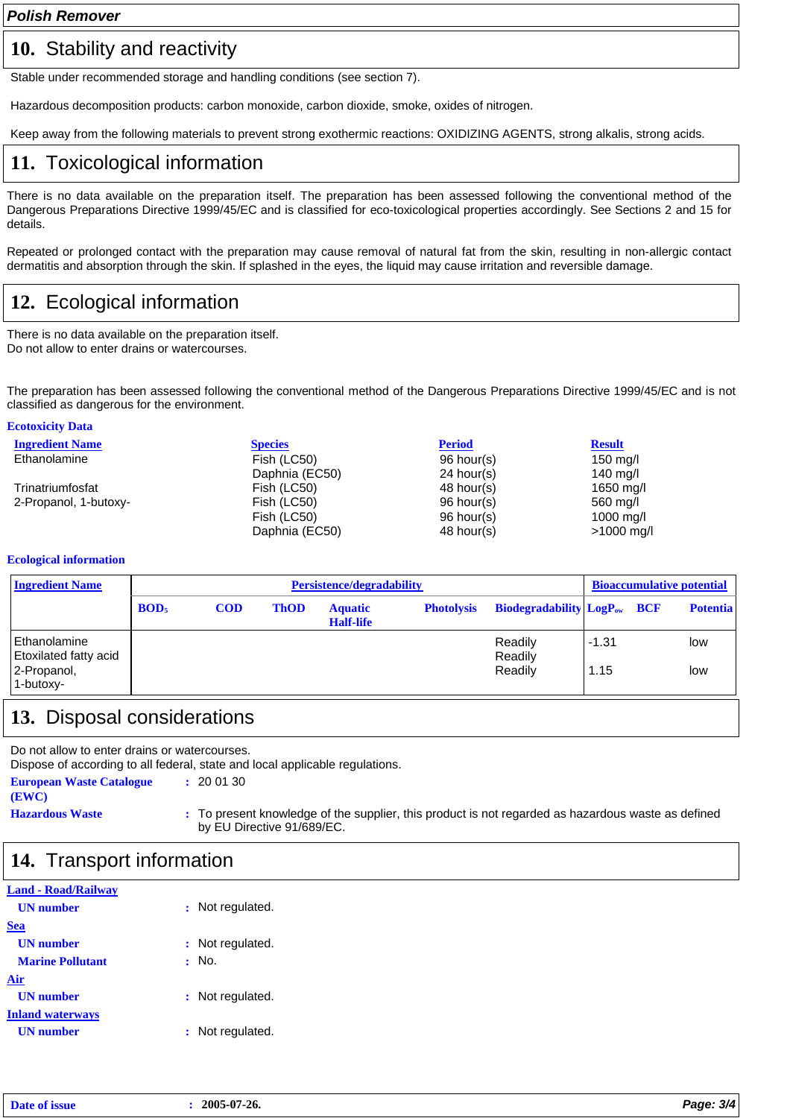### 10. Stability and reactivity

Stable under recommended storage and handling conditions (see section 7).

Hazardous decomposition products: carbon monoxide, carbon dioxide, smoke, oxides of nitrogen.

Keep away from the following materials to prevent strong exothermic reactions: OXIDIZING AGENTS, strong alkalis, strong acids.

## **11.** Toxicological information

There is no data available on the preparation itself. The preparation has been assessed following the conventional method of the Dangerous Preparations Directive 1999/45/EC and is classified for eco-toxicological properties accordingly. See Sections 2 and 15 for details.

Repeated or prolonged contact with the preparation may cause removal of natural fat from the skin, resulting in non-allergic contact dermatitis and absorption through the skin. If splashed in the eyes, the liquid may cause irritation and reversible damage.

# **12.** Ecological information

There is no data available on the preparation itself. Do not allow to enter drains or watercourses.

The preparation has been assessed following the conventional method of the Dangerous Preparations Directive 1999/45/EC and is not classified as dangerous for the environment.

| <b>Ecotoxicity Data</b> |                |               |               |
|-------------------------|----------------|---------------|---------------|
| <b>Ingredient Name</b>  | <b>Species</b> | <b>Period</b> | <b>Result</b> |
| Ethanolamine            | Fish (LC50)    | $96$ hour(s)  | $150$ mg/l    |
|                         | Daphnia (EC50) | $24$ hour(s)  | 140 mg/l      |
| Trinatriumfosfat        | Fish (LC50)    | 48 hour(s)    | 1650 mg/l     |
| 2-Propanol, 1-butoxy-   | Fish (LC50)    | $96$ hour(s)  | 560 mg/l      |
|                         | Fish (LC50)    | 96 hour(s)    | 1000 mg/l     |
|                         | Daphnia (EC50) | 48 hour(s)    | $>1000$ mg/l  |

#### **Ecological information**

**Ecotoxicity Data**

| <b>Ingredient Name</b>                |                  |            |             | <b>Persistence/degradability</b>   |                   |                                    |         | <b>Bioaccumulative potential</b> |
|---------------------------------------|------------------|------------|-------------|------------------------------------|-------------------|------------------------------------|---------|----------------------------------|
|                                       | BOD <sub>5</sub> | <b>COD</b> | <b>ThOD</b> | <b>Aquatic</b><br><b>Half-life</b> | <b>Photolysis</b> | <b>Biodegradability LogPow BCF</b> |         | <b>Potentia</b>                  |
| Ethanolamine<br>Etoxilated fatty acid |                  |            |             |                                    |                   | Readily<br>Readily                 | $-1.31$ | low                              |
| 2-Propanol,<br>1-butoxy-              |                  |            |             |                                    |                   | Readily                            | 1.15    | low                              |

#### **13.** Disposal considerations

Do not allow to enter drains or watercourses.

Dispose of according to all federal, state and local applicable regulations.

**European Waste Catalogue :** 20 01 30 **(EWC)**

**Hazardous Waste :** To present knowledge of the supplier, this product is not regarded as hazardous waste as defined by EU Directive 91/689/EC.

## **14.** Transport information

| <b>Land - Road/Railway</b> |                  |
|----------------------------|------------------|
| <b>UN</b> number           | : Not regulated. |
| <b>Sea</b>                 |                  |
| <b>UN</b> number           | : Not regulated. |
| <b>Marine Pollutant</b>    | No.              |
| Air                        |                  |
| <b>UN</b> number           | : Not regulated. |
| <b>Inland waterways</b>    |                  |
| <b>UN</b> number           | : Not regulated. |
|                            |                  |

| 2005-07-26.<br>----<br>$\overline{\phantom{0}}$ | 310 |
|-------------------------------------------------|-----|
|-------------------------------------------------|-----|